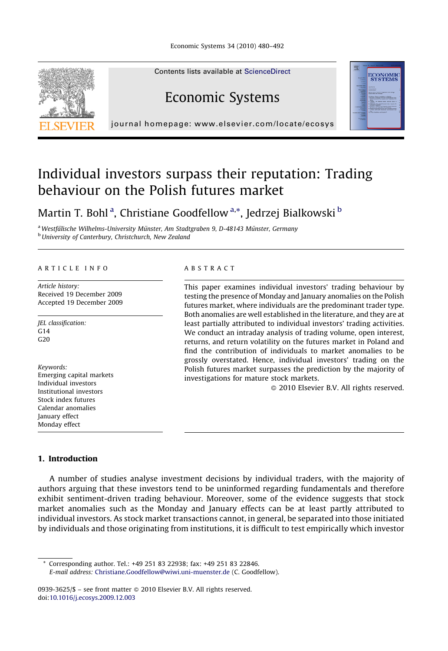

Contents lists available at [ScienceDirect](http://www.sciencedirect.com/science/journal/09393625)

## Economic Systems



journal homepage: www.elsevier.com/locate/ecosys

### Individual investors surpass their reputation: Trading behaviour on the Polish futures market

Martin T. Bohl<sup>a</sup>, Christiane Goodfellow<sup>a,\*</sup>, Jedrzej Bialkowski <sup>b</sup>

<sup>a</sup> Westfälische Wilhelms-University Münster, Am Stadtgraben 9, D-48143 Münster, Germany **b** University of Canterbury, Christchurch, New Zealand

#### ARTICLE INFO

Article history: Received 19 December 2009 Accepted 19 December 2009

JEL classification:  $G<sub>14</sub>$  $C20$ 

Keywords: Emerging capital markets Individual investors Institutional investors Stock index futures Calendar anomalies January effect Monday effect

#### ABSTRACT

This paper examines individual investors' trading behaviour by testing the presence of Monday and January anomalies on the Polish futures market, where individuals are the predominant trader type. Both anomalies are well established in the literature, and they are at least partially attributed to individual investors' trading activities. We conduct an intraday analysis of trading volume, open interest, returns, and return volatility on the futures market in Poland and find the contribution of individuals to market anomalies to be grossly overstated. Hence, individual investors' trading on the Polish futures market surpasses the prediction by the majority of investigations for mature stock markets.

- 2010 Elsevier B.V. All rights reserved.

#### 1. Introduction

A number of studies analyse investment decisions by individual traders, with the majority of authors arguing that these investors tend to be uninformed regarding fundamentals and therefore exhibit sentiment-driven trading behaviour. Moreover, some of the evidence suggests that stock market anomalies such as the Monday and January effects can be at least partly attributed to individual investors. As stock market transactions cannot, in general, be separated into those initiated by individuals and those originating from institutions, it is difficult to test empirically which investor

Corresponding author. Tel.: +49 251 83 22938; fax: +49 251 83 22846. E-mail address: [Christiane.Goodfellow@wiwi.uni-muenster.de](mailto:Christiane.Goodfellow@wiwi.uni-muenster.de) (C. Goodfellow).

0939-3625/\$ – see front matter © 2010 Elsevier B.V. All rights reserved. doi:[10.1016/j.ecosys.2009.12.003](http://dx.doi.org/10.1016/j.ecosys.2009.12.003)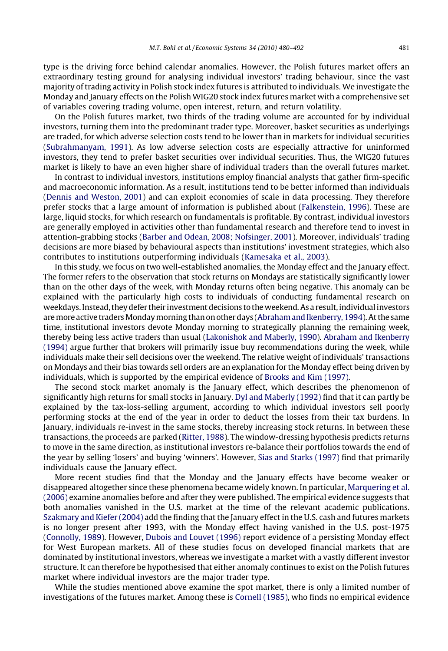type is the driving force behind calendar anomalies. However, the Polish futures market offers an extraordinary testing ground for analysing individual investors' trading behaviour, since the vast majority of trading activity in Polish stock index futures is attributed to individuals. We investigate the Monday and January effects on the Polish WIG20 stock index futures market with a comprehensive set of variables covering trading volume, open interest, return, and return volatility.

On the Polish futures market, two thirds of the trading volume are accounted for by individual investors, turning them into the predominant trader type. Moreover, basket securities as underlyings are traded, for which adverse selection costs tend to be lower than in markets for individual securities [\(Subrahmanyam, 1991](#page--1-0)). As low adverse selection costs are especially attractive for uninformed investors, they tend to prefer basket securities over individual securities. Thus, the WIG20 futures market is likely to have an even higher share of individual traders than the overall futures market.

In contrast to individual investors, institutions employ financial analysts that gather firm-specific and macroeconomic information. As a result, institutions tend to be better informed than individuals [\(Dennis and Weston, 2001\)](#page--1-0) and can exploit economies of scale in data processing. They therefore prefer stocks that a large amount of information is published about [\(Falkenstein, 1996\)](#page--1-0). These are large, liquid stocks, for which research on fundamentals is profitable. By contrast, individual investors are generally employed in activities other than fundamental research and therefore tend to invest in attention-grabbing stocks ([Barber and Odean, 2008; Nofsinger, 2001\)](#page--1-0). Moreover, individuals' trading decisions are more biased by behavioural aspects than institutions' investment strategies, which also contributes to institutions outperforming individuals ([Kamesaka et al., 2003\)](#page--1-0).

In this study, we focus on two well-established anomalies, the Monday effect and the January effect. The former refers to the observation that stock returns on Mondays are statistically significantly lower than on the other days of the week, with Monday returns often being negative. This anomaly can be explained with the particularly high costs to individuals of conducting fundamental research on weekdays. Instead, they defer their investment decisions to the weekend. As a result, individual investors are more active traders Monday morning than on other days [\(Abraham and Ikenberry, 1994\)](#page--1-0). At the same time, institutional investors devote Monday morning to strategically planning the remaining week, thereby being less active traders than usual [\(Lakonishok and Maberly, 1990\)](#page--1-0). [Abraham and Ikenberry](#page--1-0) [\(1994\)](#page--1-0) argue further that brokers will primarily issue buy recommendations during the week, while individuals make their sell decisions over the weekend. The relative weight of individuals' transactions on Mondays and their bias towards sell orders are an explanation for the Monday effect being driven by individuals, which is supported by the empirical evidence of [Brooks and Kim \(1997\)](#page--1-0).

The second stock market anomaly is the January effect, which describes the phenomenon of significantly high returns for small stocks in January. [Dyl and Maberly \(1992\)](#page--1-0) find that it can partly be explained by the tax-loss-selling argument, according to which individual investors sell poorly performing stocks at the end of the year in order to deduct the losses from their tax burdens. In January, individuals re-invest in the same stocks, thereby increasing stock returns. In between these transactions, the proceeds are parked [\(Ritter, 1988](#page--1-0)). The window-dressing hypothesis predicts returns to move in the same direction, as institutional investors re-balance their portfolios towards the end of the year by selling 'losers' and buying 'winners'. However, [Sias and Starks \(1997\)](#page--1-0) find that primarily individuals cause the January effect.

More recent studies find that the Monday and the January effects have become weaker or disappeared altogether since these phenomena became widely known. In particular, [Marquering et al.](#page--1-0) [\(2006\)](#page--1-0) examine anomalies before and after they were published. The empirical evidence suggests that both anomalies vanished in the U.S. market at the time of the relevant academic publications. [Szakmary and Kiefer \(2004\)](#page--1-0) add the finding that the January effect in the U.S. cash and futures markets is no longer present after 1993, with the Monday effect having vanished in the U.S. post-1975 [\(Connolly, 1989](#page--1-0)). However, [Dubois and Louvet \(1996\)](#page--1-0) report evidence of a persisting Monday effect for West European markets. All of these studies focus on developed financial markets that are dominated by institutional investors, whereas we investigate a market with a vastly different investor structure. It can therefore be hypothesised that either anomaly continues to exist on the Polish futures market where individual investors are the major trader type.

While the studies mentioned above examine the spot market, there is only a limited number of investigations of the futures market. Among these is [Cornell \(1985\),](#page--1-0) who finds no empirical evidence